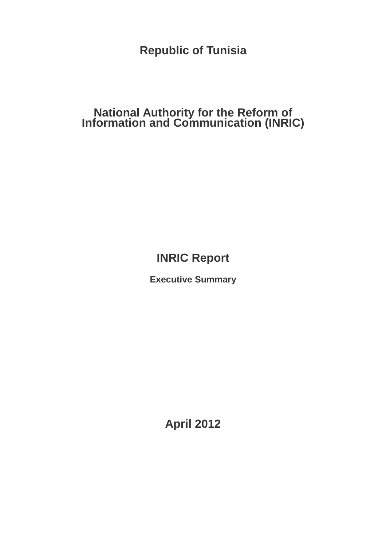**Republic of Tunisia** 

# **National Authority for the Reform of Information and Communication (INRIC)**

**INRIC Report** 

**Executive Summary** 

**April 2012**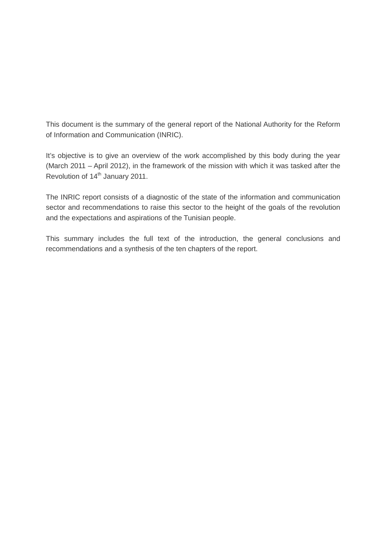This document is the summary of the general report of the National Authority for the Reform of Information and Communication (INRIC).

It's objective is to give an overview of the work accomplished by this body during the year (March 2011 – April 2012), in the framework of the mission with which it was tasked after the Revolution of 14<sup>th</sup> January 2011.

The INRIC report consists of a diagnostic of the state of the information and communication sector and recommendations to raise this sector to the height of the goals of the revolution and the expectations and aspirations of the Tunisian people.

This summary includes the full text of the introduction, the general conclusions and recommendations and a synthesis of the ten chapters of the report.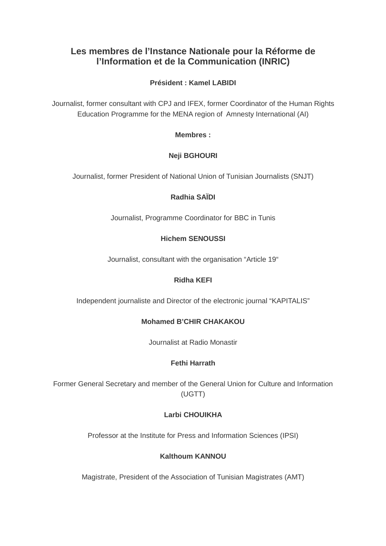# **Les membres de l'Instance Nationale pour la Réforme de l'Information et de la Communication (INRIC)**

### **Président : Kamel LABIDI**

Journalist, former consultant with CPJ and IFEX, former Coordinator of the Human Rights Education Programme for the MENA region of Amnesty International (AI)

**Membres :** 

## **Neji BGHOURI**

Journalist, former President of National Union of Tunisian Journalists (SNJT)

### **Radhia SAÏDI**

Journalist, Programme Coordinator for BBC in Tunis

### **Hichem SENOUSSI**

Journalist, consultant with the organisation "Article 19"

#### **Ridha KEFI**

Independent journaliste and Director of the electronic journal "KAPITALIS"

#### **Mohamed B'CHIR CHAKAKOU**

Journalist at Radio Monastir

#### **Fethi Harrath**

Former General Secretary and member of the General Union for Culture and Information (UGTT)

### **Larbi CHOUIKHA**

Professor at the Institute for Press and Information Sciences (IPSI)

#### **Kalthoum KANNOU**

Magistrate, President of the Association of Tunisian Magistrates (AMT)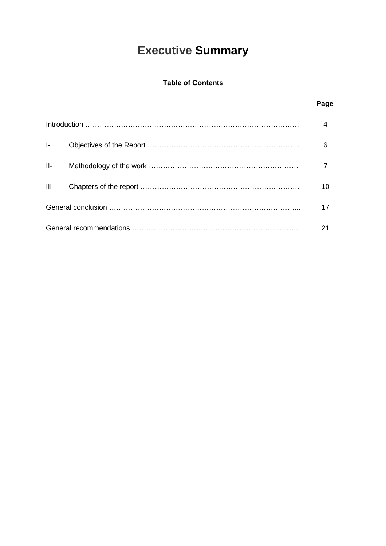# **Executive Summary**

### **Table of Contents**

## **Page**

| <b>I-</b> Co |  | 6  |
|--------------|--|----|
|              |  |    |
| $III -$      |  | 10 |
|              |  |    |
|              |  |    |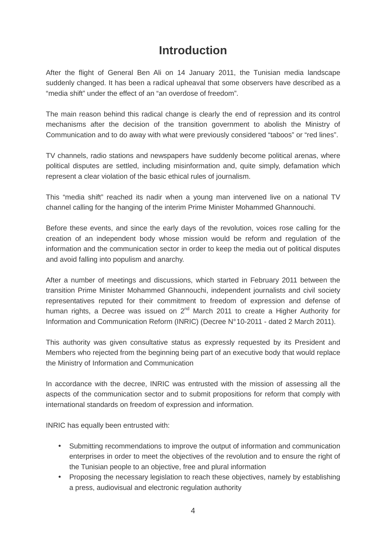# **Introduction**

After the flight of General Ben Ali on 14 January 2011, the Tunisian media landscape suddenly changed. It has been a radical upheaval that some observers have described as a "media shift" under the effect of an "an overdose of freedom".

The main reason behind this radical change is clearly the end of repression and its control mechanisms after the decision of the transition government to abolish the Ministry of Communication and to do away with what were previously considered "taboos" or "red lines".

TV channels, radio stations and newspapers have suddenly become political arenas, where political disputes are settled, including misinformation and, quite simply, defamation which represent a clear violation of the basic ethical rules of journalism.

This "media shift" reached its nadir when a young man intervened live on a national TV channel calling for the hanging of the interim Prime Minister Mohammed Ghannouchi.

Before these events, and since the early days of the revolution, voices rose calling for the creation of an independent body whose mission would be reform and regulation of the information and the communication sector in order to keep the media out of political disputes and avoid falling into populism and anarchy.

After a number of meetings and discussions, which started in February 2011 between the transition Prime Minister Mohammed Ghannouchi, independent journalists and civil society representatives reputed for their commitment to freedom of expression and defense of human rights, a Decree was issued on  $2^{nd}$  March 2011 to create a Higher Authority for Information and Communication Reform (INRIC) (Decree N° 10-2011 - dated 2 March 2011).

This authority was given consultative status as expressly requested by its President and Members who rejected from the beginning being part of an executive body that would replace the Ministry of Information and Communication

In accordance with the decree, INRIC was entrusted with the mission of assessing all the aspects of the communication sector and to submit propositions for reform that comply with international standards on freedom of expression and information.

INRIC has equally been entrusted with:

- Submitting recommendations to improve the output of information and communication enterprises in order to meet the objectives of the revolution and to ensure the right of the Tunisian people to an objective, free and plural information
- Proposing the necessary legislation to reach these objectives, namely by establishing a press, audiovisual and electronic regulation authority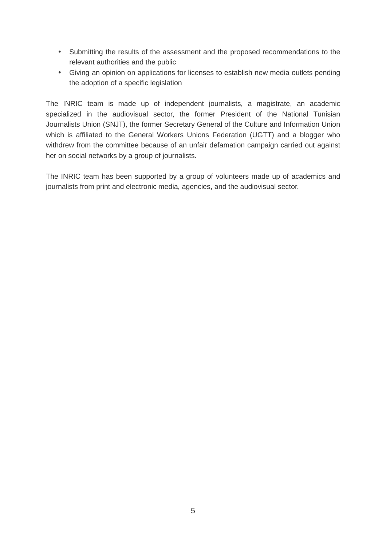- Submitting the results of the assessment and the proposed recommendations to the relevant authorities and the public
- Giving an opinion on applications for licenses to establish new media outlets pending the adoption of a specific legislation

The INRIC team is made up of independent journalists, a magistrate, an academic specialized in the audiovisual sector, the former President of the National Tunisian Journalists Union (SNJT), the former Secretary General of the Culture and Information Union which is affiliated to the General Workers Unions Federation (UGTT) and a blogger who withdrew from the committee because of an unfair defamation campaign carried out against her on social networks by a group of journalists.

The INRIC team has been supported by a group of volunteers made up of academics and journalists from print and electronic media, agencies, and the audiovisual sector.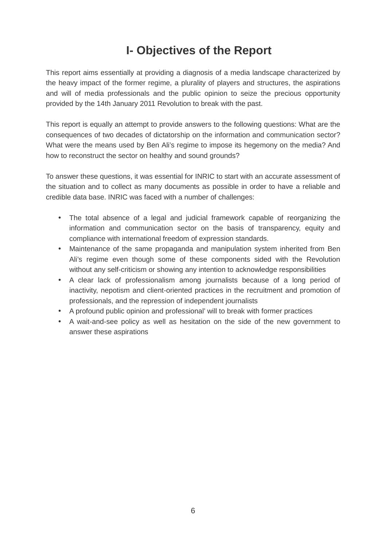# **I- Objectives of the Report**

This report aims essentially at providing a diagnosis of a media landscape characterized by the heavy impact of the former regime, a plurality of players and structures, the aspirations and will of media professionals and the public opinion to seize the precious opportunity provided by the 14th January 2011 Revolution to break with the past.

This report is equally an attempt to provide answers to the following questions: What are the consequences of two decades of dictatorship on the information and communication sector? What were the means used by Ben Ali's regime to impose its hegemony on the media? And how to reconstruct the sector on healthy and sound grounds?

To answer these questions, it was essential for INRIC to start with an accurate assessment of the situation and to collect as many documents as possible in order to have a reliable and credible data base. INRIC was faced with a number of challenges:

- The total absence of a legal and judicial framework capable of reorganizing the information and communication sector on the basis of transparency, equity and compliance with international freedom of expression standards.
- Maintenance of the same propaganda and manipulation system inherited from Ben Ali's regime even though some of these components sided with the Revolution without any self-criticism or showing any intention to acknowledge responsibilities
- A clear lack of professionalism among journalists because of a long period of inactivity, nepotism and client-oriented practices in the recruitment and promotion of professionals, and the repression of independent journalists
- A profound public opinion and professional' will to break with former practices
- A wait-and-see policy as well as hesitation on the side of the new government to answer these aspirations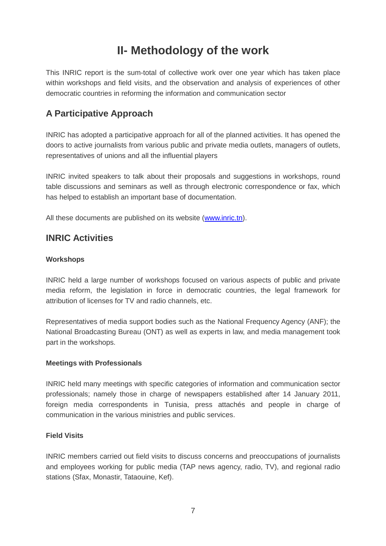# **II- Methodology of the work**

This INRIC report is the sum-total of collective work over one year which has taken place within workshops and field visits, and the observation and analysis of experiences of other democratic countries in reforming the information and communication sector

# **A Participative Approach**

INRIC has adopted a participative approach for all of the planned activities. It has opened the doors to active journalists from various public and private media outlets, managers of outlets, representatives of unions and all the influential players

INRIC invited speakers to talk about their proposals and suggestions in workshops, round table discussions and seminars as well as through electronic correspondence or fax, which has helped to establish an important base of documentation.

All these documents are published on its website (www.inric.tn).

# **INRIC Activities**

### **Workshops**

INRIC held a large number of workshops focused on various aspects of public and private media reform, the legislation in force in democratic countries, the legal framework for attribution of licenses for TV and radio channels, etc.

Representatives of media support bodies such as the National Frequency Agency (ANF); the National Broadcasting Bureau (ONT) as well as experts in law, and media management took part in the workshops.

#### **Meetings with Professionals**

INRIC held many meetings with specific categories of information and communication sector professionals; namely those in charge of newspapers established after 14 January 2011, foreign media correspondents in Tunisia, press attachés and people in charge of communication in the various ministries and public services.

#### **Field Visits**

INRIC members carried out field visits to discuss concerns and preoccupations of journalists and employees working for public media (TAP news agency, radio, TV), and regional radio stations (Sfax, Monastir, Tataouine, Kef).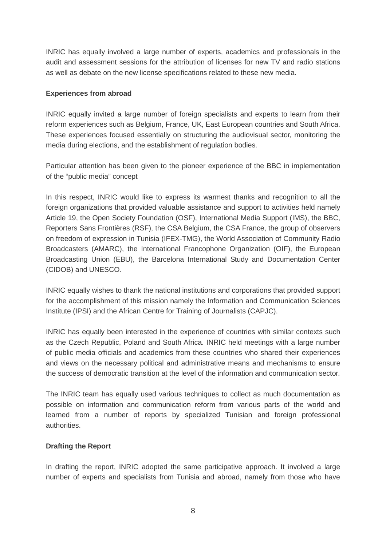INRIC has equally involved a large number of experts, academics and professionals in the audit and assessment sessions for the attribution of licenses for new TV and radio stations as well as debate on the new license specifications related to these new media.

#### **Experiences from abroad**

INRIC equally invited a large number of foreign specialists and experts to learn from their reform experiences such as Belgium, France, UK, East European countries and South Africa. These experiences focused essentially on structuring the audiovisual sector, monitoring the media during elections, and the establishment of regulation bodies.

Particular attention has been given to the pioneer experience of the BBC in implementation of the "public media" concept

In this respect, INRIC would like to express its warmest thanks and recognition to all the foreign organizations that provided valuable assistance and support to activities held namely Article 19, the Open Society Foundation (OSF), International Media Support (IMS), the BBC, Reporters Sans Frontières (RSF), the CSA Belgium, the CSA France, the group of observers on freedom of expression in Tunisia (IFEX-TMG), the World Association of Community Radio Broadcasters (AMARC), the International Francophone Organization (OIF), the European Broadcasting Union (EBU), the Barcelona International Study and Documentation Center (CIDOB) and UNESCO.

INRIC equally wishes to thank the national institutions and corporations that provided support for the accomplishment of this mission namely the Information and Communication Sciences Institute (IPSI) and the African Centre for Training of Journalists (CAPJC).

INRIC has equally been interested in the experience of countries with similar contexts such as the Czech Republic, Poland and South Africa. INRIC held meetings with a large number of public media officials and academics from these countries who shared their experiences and views on the necessary political and administrative means and mechanisms to ensure the success of democratic transition at the level of the information and communication sector.

The INRIC team has equally used various techniques to collect as much documentation as possible on information and communication reform from various parts of the world and learned from a number of reports by specialized Tunisian and foreign professional authorities.

#### **Drafting the Report**

In drafting the report, INRIC adopted the same participative approach. It involved a large number of experts and specialists from Tunisia and abroad, namely from those who have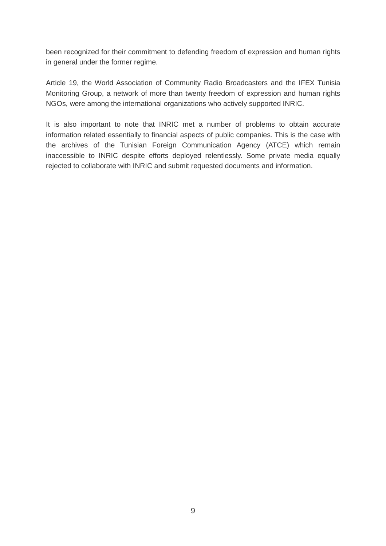been recognized for their commitment to defending freedom of expression and human rights in general under the former regime.

Article 19, the World Association of Community Radio Broadcasters and the IFEX Tunisia Monitoring Group, a network of more than twenty freedom of expression and human rights NGOs, were among the international organizations who actively supported INRIC.

It is also important to note that INRIC met a number of problems to obtain accurate information related essentially to financial aspects of public companies. This is the case with the archives of the Tunisian Foreign Communication Agency (ATCE) which remain inaccessible to INRIC despite efforts deployed relentlessly. Some private media equally rejected to collaborate with INRIC and submit requested documents and information.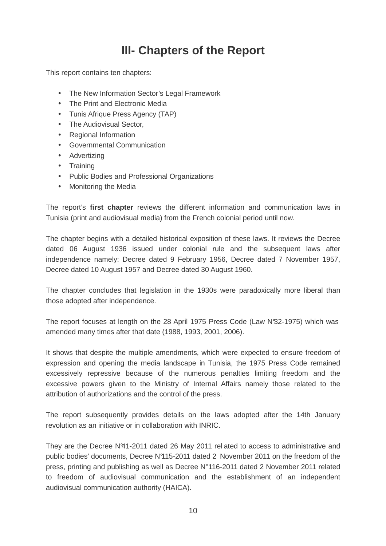# **III- Chapters of the Report**

This report contains ten chapters:

- The New Information Sector's Legal Framework
- The Print and Electronic Media
- Tunis Afrique Press Agency (TAP)
- The Audiovisual Sector,
- Regional Information
- Governmental Communication
- Advertizing
- Training
- Public Bodies and Professional Organizations
- Monitoring the Media

The report's **first chapter** reviews the different information and communication laws in Tunisia (print and audiovisual media) from the French colonial period until now.

The chapter begins with a detailed historical exposition of these laws. It reviews the Decree dated 06 August 1936 issued under colonial rule and the subsequent laws after independence namely: Decree dated 9 February 1956, Decree dated 7 November 1957, Decree dated 10 August 1957 and Decree dated 30 August 1960.

The chapter concludes that legislation in the 1930s were paradoxically more liberal than those adopted after independence.

The report focuses at length on the 28 April 1975 Press Code (Law N°32-1975) which was amended many times after that date (1988, 1993, 2001, 2006).

It shows that despite the multiple amendments, which were expected to ensure freedom of expression and opening the media landscape in Tunisia, the 1975 Press Code remained excessively repressive because of the numerous penalties limiting freedom and the excessive powers given to the Ministry of Internal Affairs namely those related to the attribution of authorizations and the control of the press.

The report subsequently provides details on the laws adopted after the 14th January revolution as an initiative or in collaboration with INRIC.

They are the Decree N°41-2011 dated 26 May 2011 rel ated to access to administrative and public bodies' documents, Decree N°115-2011 dated 2 November 2011 on the freedom of the press, printing and publishing as well as Decree N°116-2011 dated 2 November 2011 related to freedom of audiovisual communication and the establishment of an independent audiovisual communication authority (HAICA).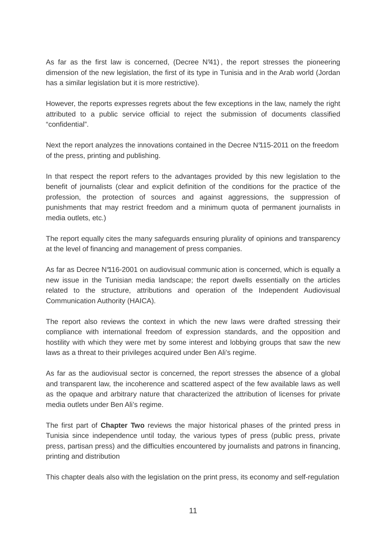As far as the first law is concerned, (Decree N°41) , the report stresses the pioneering dimension of the new legislation, the first of its type in Tunisia and in the Arab world (Jordan has a similar legislation but it is more restrictive).

However, the reports expresses regrets about the few exceptions in the law, namely the right attributed to a public service official to reject the submission of documents classified "confidential".

Next the report analyzes the innovations contained in the Decree N°115-2011 on the freedom of the press, printing and publishing.

In that respect the report refers to the advantages provided by this new legislation to the benefit of journalists (clear and explicit definition of the conditions for the practice of the profession, the protection of sources and against aggressions, the suppression of punishments that may restrict freedom and a minimum quota of permanent journalists in media outlets, etc.)

The report equally cites the many safeguards ensuring plurality of opinions and transparency at the level of financing and management of press companies.

As far as Decree N°116-2001 on audiovisual communic ation is concerned, which is equally a new issue in the Tunisian media landscape; the report dwells essentially on the articles related to the structure, attributions and operation of the Independent Audiovisual Communication Authority (HAICA).

The report also reviews the context in which the new laws were drafted stressing their compliance with international freedom of expression standards, and the opposition and hostility with which they were met by some interest and lobbying groups that saw the new laws as a threat to their privileges acquired under Ben Ali's regime.

As far as the audiovisual sector is concerned, the report stresses the absence of a global and transparent law, the incoherence and scattered aspect of the few available laws as well as the opaque and arbitrary nature that characterized the attribution of licenses for private media outlets under Ben Ali's regime.

The first part of **Chapter Two** reviews the major historical phases of the printed press in Tunisia since independence until today, the various types of press (public press, private press, partisan press) and the difficulties encountered by journalists and patrons in financing, printing and distribution

This chapter deals also with the legislation on the print press, its economy and self-regulation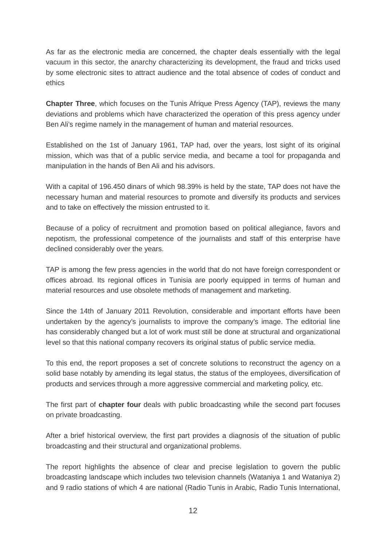As far as the electronic media are concerned, the chapter deals essentially with the legal vacuum in this sector, the anarchy characterizing its development, the fraud and tricks used by some electronic sites to attract audience and the total absence of codes of conduct and ethics

**Chapter Three**, which focuses on the Tunis Afrique Press Agency (TAP), reviews the many deviations and problems which have characterized the operation of this press agency under Ben Ali's regime namely in the management of human and material resources.

Established on the 1st of January 1961, TAP had, over the years, lost sight of its original mission, which was that of a public service media, and became a tool for propaganda and manipulation in the hands of Ben Ali and his advisors.

With a capital of 196.450 dinars of which 98.39% is held by the state, TAP does not have the necessary human and material resources to promote and diversify its products and services and to take on effectively the mission entrusted to it.

Because of a policy of recruitment and promotion based on political allegiance, favors and nepotism, the professional competence of the journalists and staff of this enterprise have declined considerably over the years.

TAP is among the few press agencies in the world that do not have foreign correspondent or offices abroad. Its regional offices in Tunisia are poorly equipped in terms of human and material resources and use obsolete methods of management and marketing.

Since the 14th of January 2011 Revolution, considerable and important efforts have been undertaken by the agency's journalists to improve the company's image. The editorial line has considerably changed but a lot of work must still be done at structural and organizational level so that this national company recovers its original status of public service media.

To this end, the report proposes a set of concrete solutions to reconstruct the agency on a solid base notably by amending its legal status, the status of the employees, diversification of products and services through a more aggressive commercial and marketing policy, etc.

The first part of **chapter four** deals with public broadcasting while the second part focuses on private broadcasting.

After a brief historical overview, the first part provides a diagnosis of the situation of public broadcasting and their structural and organizational problems.

The report highlights the absence of clear and precise legislation to govern the public broadcasting landscape which includes two television channels (Wataniya 1 and Wataniya 2) and 9 radio stations of which 4 are national (Radio Tunis in Arabic, Radio Tunis International,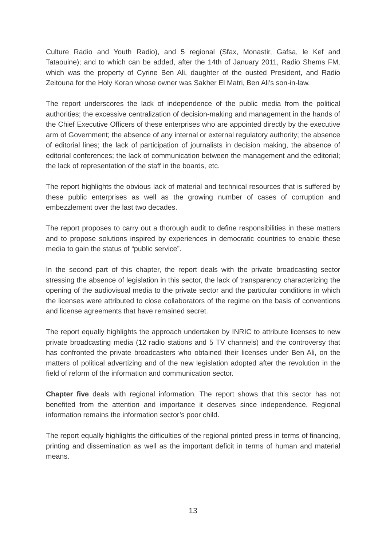Culture Radio and Youth Radio), and 5 regional (Sfax, Monastir, Gafsa, le Kef and Tataouine); and to which can be added, after the 14th of January 2011, Radio Shems FM, which was the property of Cyrine Ben Ali, daughter of the ousted President, and Radio Zeitouna for the Holy Koran whose owner was Sakher El Matri, Ben Ali's son-in-law.

The report underscores the lack of independence of the public media from the political authorities; the excessive centralization of decision-making and management in the hands of the Chief Executive Officers of these enterprises who are appointed directly by the executive arm of Government; the absence of any internal or external regulatory authority; the absence of editorial lines; the lack of participation of journalists in decision making, the absence of editorial conferences; the lack of communication between the management and the editorial; the lack of representation of the staff in the boards, etc.

The report highlights the obvious lack of material and technical resources that is suffered by these public enterprises as well as the growing number of cases of corruption and embezzlement over the last two decades.

The report proposes to carry out a thorough audit to define responsibilities in these matters and to propose solutions inspired by experiences in democratic countries to enable these media to gain the status of "public service".

In the second part of this chapter, the report deals with the private broadcasting sector stressing the absence of legislation in this sector, the lack of transparency characterizing the opening of the audiovisual media to the private sector and the particular conditions in which the licenses were attributed to close collaborators of the regime on the basis of conventions and license agreements that have remained secret.

The report equally highlights the approach undertaken by INRIC to attribute licenses to new private broadcasting media (12 radio stations and 5 TV channels) and the controversy that has confronted the private broadcasters who obtained their licenses under Ben Ali, on the matters of political advertizing and of the new legislation adopted after the revolution in the field of reform of the information and communication sector.

**Chapter five** deals with regional information. The report shows that this sector has not benefited from the attention and importance it deserves since independence. Regional information remains the information sector's poor child.

The report equally highlights the difficulties of the regional printed press in terms of financing, printing and dissemination as well as the important deficit in terms of human and material means.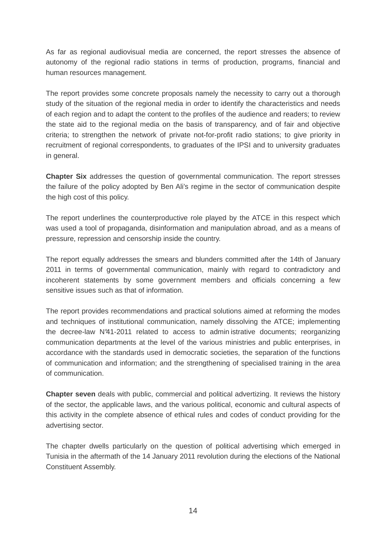As far as regional audiovisual media are concerned, the report stresses the absence of autonomy of the regional radio stations in terms of production, programs, financial and human resources management.

The report provides some concrete proposals namely the necessity to carry out a thorough study of the situation of the regional media in order to identify the characteristics and needs of each region and to adapt the content to the profiles of the audience and readers; to review the state aid to the regional media on the basis of transparency, and of fair and objective criteria; to strengthen the network of private not-for-profit radio stations; to give priority in recruitment of regional correspondents, to graduates of the IPSI and to university graduates in general.

**Chapter Six** addresses the question of governmental communication. The report stresses the failure of the policy adopted by Ben Ali's regime in the sector of communication despite the high cost of this policy.

The report underlines the counterproductive role played by the ATCE in this respect which was used a tool of propaganda, disinformation and manipulation abroad, and as a means of pressure, repression and censorship inside the country.

The report equally addresses the smears and blunders committed after the 14th of January 2011 in terms of governmental communication, mainly with regard to contradictory and incoherent statements by some government members and officials concerning a few sensitive issues such as that of information.

The report provides recommendations and practical solutions aimed at reforming the modes and techniques of institutional communication, namely dissolving the ATCE; implementing the decree-law N°41-2011 related to access to admin istrative documents; reorganizing communication departments at the level of the various ministries and public enterprises, in accordance with the standards used in democratic societies, the separation of the functions of communication and information; and the strengthening of specialised training in the area of communication.

**Chapter seven** deals with public, commercial and political advertizing. It reviews the history of the sector, the applicable laws, and the various political, economic and cultural aspects of this activity in the complete absence of ethical rules and codes of conduct providing for the advertising sector.

The chapter dwells particularly on the question of political advertising which emerged in Tunisia in the aftermath of the 14 January 2011 revolution during the elections of the National Constituent Assembly.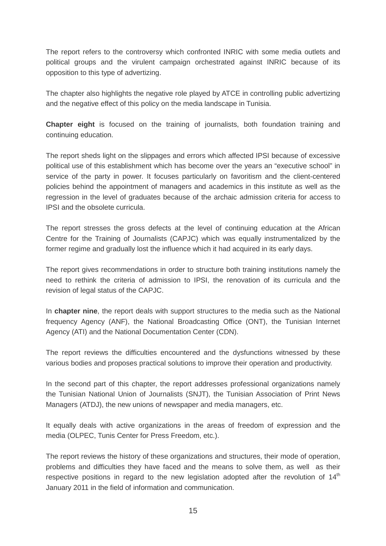The report refers to the controversy which confronted INRIC with some media outlets and political groups and the virulent campaign orchestrated against INRIC because of its opposition to this type of advertizing.

The chapter also highlights the negative role played by ATCE in controlling public advertizing and the negative effect of this policy on the media landscape in Tunisia.

**Chapter eight** is focused on the training of journalists, both foundation training and continuing education.

The report sheds light on the slippages and errors which affected IPSI because of excessive political use of this establishment which has become over the years an "executive school" in service of the party in power. It focuses particularly on favoritism and the client-centered policies behind the appointment of managers and academics in this institute as well as the regression in the level of graduates because of the archaic admission criteria for access to IPSI and the obsolete curricula.

The report stresses the gross defects at the level of continuing education at the African Centre for the Training of Journalists (CAPJC) which was equally instrumentalized by the former regime and gradually lost the influence which it had acquired in its early days.

The report gives recommendations in order to structure both training institutions namely the need to rethink the criteria of admission to IPSI, the renovation of its curricula and the revision of legal status of the CAPJC.

In **chapter nine**, the report deals with support structures to the media such as the National frequency Agency (ANF), the National Broadcasting Office (ONT), the Tunisian Internet Agency (ATI) and the National Documentation Center (CDN).

The report reviews the difficulties encountered and the dysfunctions witnessed by these various bodies and proposes practical solutions to improve their operation and productivity.

In the second part of this chapter, the report addresses professional organizations namely the Tunisian National Union of Journalists (SNJT), the Tunisian Association of Print News Managers (ATDJ), the new unions of newspaper and media managers, etc.

It equally deals with active organizations in the areas of freedom of expression and the media (OLPEC, Tunis Center for Press Freedom, etc.).

The report reviews the history of these organizations and structures, their mode of operation, problems and difficulties they have faced and the means to solve them, as well as their respective positions in regard to the new legislation adopted after the revolution of  $14<sup>th</sup>$ January 2011 in the field of information and communication.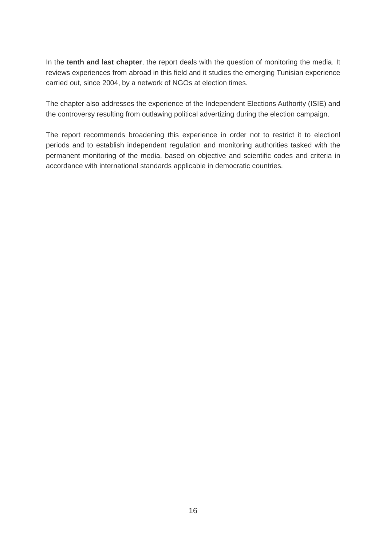In the **tenth and last chapter**, the report deals with the question of monitoring the media. It reviews experiences from abroad in this field and it studies the emerging Tunisian experience carried out, since 2004, by a network of NGOs at election times.

The chapter also addresses the experience of the Independent Elections Authority (ISIE) and the controversy resulting from outlawing political advertizing during the election campaign.

The report recommends broadening this experience in order not to restrict it to electionl periods and to establish independent regulation and monitoring authorities tasked with the permanent monitoring of the media, based on objective and scientific codes and criteria in accordance with international standards applicable in democratic countries.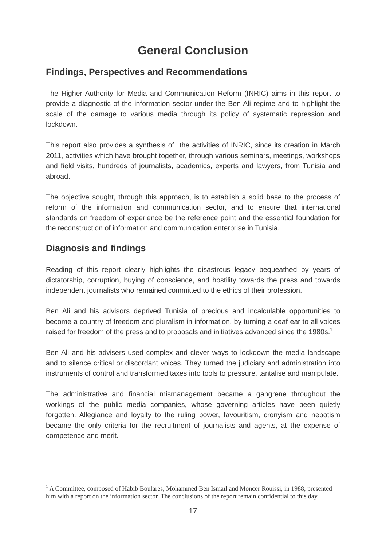# **General Conclusion**

## **Findings, Perspectives and Recommendations**

The Higher Authority for Media and Communication Reform (INRIC) aims in this report to provide a diagnostic of the information sector under the Ben Ali regime and to highlight the scale of the damage to various media through its policy of systematic repression and lockdown.

This report also provides a synthesis of the activities of INRIC, since its creation in March 2011, activities which have brought together, through various seminars, meetings, workshops and field visits, hundreds of journalists, academics, experts and lawyers, from Tunisia and abroad.

The objective sought, through this approach, is to establish a solid base to the process of reform of the information and communication sector, and to ensure that international standards on freedom of experience be the reference point and the essential foundation for the reconstruction of information and communication enterprise in Tunisia.

# **Diagnosis and findings**

 $\overline{a}$ 

Reading of this report clearly highlights the disastrous legacy bequeathed by years of dictatorship, corruption, buying of conscience, and hostility towards the press and towards independent journalists who remained committed to the ethics of their profession.

Ben Ali and his advisors deprived Tunisia of precious and incalculable opportunities to become a country of freedom and pluralism in information, by turning a deaf ear to all voices raised for freedom of the press and to proposals and initiatives advanced since the 1980s.<sup>1</sup>

Ben Ali and his advisers used complex and clever ways to lockdown the media landscape and to silence critical or discordant voices. They turned the judiciary and administration into instruments of control and transformed taxes into tools to pressure, tantalise and manipulate.

The administrative and financial mismanagement became a gangrene throughout the workings of the public media companies, whose governing articles have been quietly forgotten. Allegiance and loyalty to the ruling power, favouritism, cronyism and nepotism became the only criteria for the recruitment of journalists and agents, at the expense of competence and merit.

<sup>&</sup>lt;sup>1</sup> A Committee, composed of Habib Boulares, Mohammed Ben Ismaïl and Moncer Rouissi, in 1988, presented him with a report on the information sector. The conclusions of the report remain confidential to this day.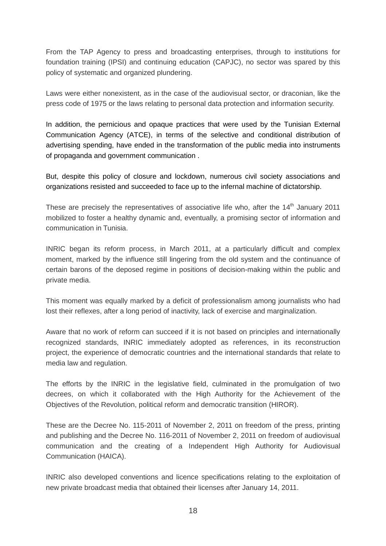From the TAP Agency to press and broadcasting enterprises, through to institutions for foundation training (IPSI) and continuing education (CAPJC), no sector was spared by this policy of systematic and organized plundering.

Laws were either nonexistent, as in the case of the audiovisual sector, or draconian, like the press code of 1975 or the laws relating to personal data protection and information security.

In addition, the pernicious and opaque practices that were used by the Tunisian External Communication Agency (ATCE), in terms of the selective and conditional distribution of advertising spending, have ended in the transformation of the public media into instruments of propaganda and government communication .

But, despite this policy of closure and lockdown, numerous civil society associations and organizations resisted and succeeded to face up to the infernal machine of dictatorship.

These are precisely the representatives of associative life who, after the  $14<sup>th</sup>$  January 2011 mobilized to foster a healthy dynamic and, eventually, a promising sector of information and communication in Tunisia.

INRIC began its reform process, in March 2011, at a particularly difficult and complex moment, marked by the influence still lingering from the old system and the continuance of certain barons of the deposed regime in positions of decision-making within the public and private media.

This moment was equally marked by a deficit of professionalism among journalists who had lost their reflexes, after a long period of inactivity, lack of exercise and marginalization.

Aware that no work of reform can succeed if it is not based on principles and internationally recognized standards, INRIC immediately adopted as references, in its reconstruction project, the experience of democratic countries and the international standards that relate to media law and regulation.

The efforts by the INRIC in the legislative field, culminated in the promulgation of two decrees, on which it collaborated with the High Authority for the Achievement of the Objectives of the Revolution, political reform and democratic transition (HIROR).

These are the Decree No. 115-2011 of November 2, 2011 on freedom of the press, printing and publishing and the Decree No. 116-2011 of November 2, 2011 on freedom of audiovisual communication and the creating of a Independent High Authority for Audiovisual Communication (HAICA).

INRIC also developed conventions and licence specifications relating to the exploitation of new private broadcast media that obtained their licenses after January 14, 2011.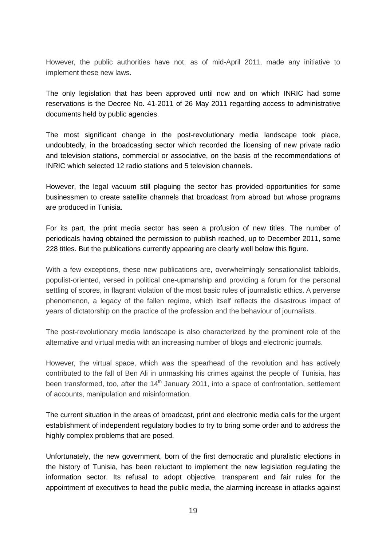However, the public authorities have not, as of mid-April 2011, made any initiative to implement these new laws.

The only legislation that has been approved until now and on which INRIC had some reservations is the Decree No. 41-2011 of 26 May 2011 regarding access to administrative documents held by public agencies.

The most significant change in the post-revolutionary media landscape took place, undoubtedly, in the broadcasting sector which recorded the licensing of new private radio and television stations, commercial or associative, on the basis of the recommendations of INRIC which selected 12 radio stations and 5 television channels.

However, the legal vacuum still plaguing the sector has provided opportunities for some businessmen to create satellite channels that broadcast from abroad but whose programs are produced in Tunisia.

For its part, the print media sector has seen a profusion of new titles. The number of periodicals having obtained the permission to publish reached, up to December 2011, some 228 titles. But the publications currently appearing are clearly well below this figure.

With a few exceptions, these new publications are, overwhelmingly sensationalist tabloids, populist-oriented, versed in political one-upmanship and providing a forum for the personal settling of scores, in flagrant violation of the most basic rules of journalistic ethics. A perverse phenomenon, a legacy of the fallen regime, which itself reflects the disastrous impact of years of dictatorship on the practice of the profession and the behaviour of journalists.

The post-revolutionary media landscape is also characterized by the prominent role of the alternative and virtual media with an increasing number of blogs and electronic journals.

However, the virtual space, which was the spearhead of the revolution and has actively contributed to the fall of Ben Ali in unmasking his crimes against the people of Tunisia, has been transformed, too, after the  $14<sup>th</sup>$  January 2011, into a space of confrontation, settlement of accounts, manipulation and misinformation.

The current situation in the areas of broadcast, print and electronic media calls for the urgent establishment of independent regulatory bodies to try to bring some order and to address the highly complex problems that are posed.

Unfortunately, the new government, born of the first democratic and pluralistic elections in the history of Tunisia, has been reluctant to implement the new legislation regulating the information sector. Its refusal to adopt objective, transparent and fair rules for the appointment of executives to head the public media, the alarming increase in attacks against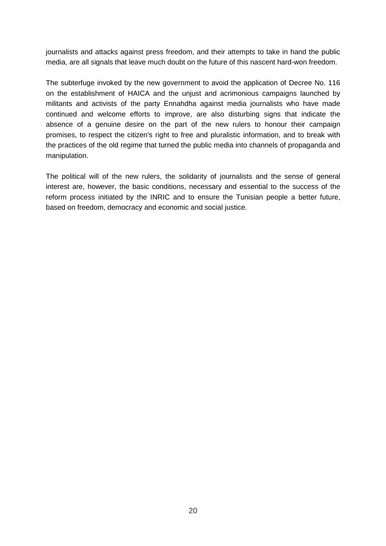journalists and attacks against press freedom, and their attempts to take in hand the public media, are all signals that leave much doubt on the future of this nascent hard-won freedom.

The subterfuge invoked by the new government to avoid the application of Decree No. 116 on the establishment of HAICA and the unjust and acrimonious campaigns launched by militants and activists of the party Ennahdha against media journalists who have made continued and welcome efforts to improve, are also disturbing signs that indicate the absence of a genuine desire on the part of the new rulers to honour their campaign promises, to respect the citizen's right to free and pluralistic information, and to break with the practices of the old regime that turned the public media into channels of propaganda and manipulation.

The political will of the new rulers, the solidarity of journalists and the sense of general interest are, however, the basic conditions, necessary and essential to the success of the reform process initiated by the INRIC and to ensure the Tunisian people a better future, based on freedom, democracy and economic and social justice.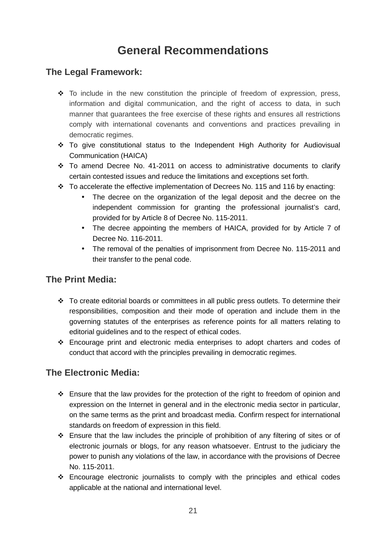# **General Recommendations**

# **The Legal Framework:**

- \* To include in the new constitution the principle of freedom of expression, press, information and digital communication, and the right of access to data, in such manner that guarantees the free exercise of these rights and ensures all restrictions comply with international covenants and conventions and practices prevailing in democratic regimes.
- To give constitutional status to the Independent High Authority for Audiovisual Communication (HAICA)
- $\div$  To amend Decree No. 41-2011 on access to administrative documents to clarify certain contested issues and reduce the limitations and exceptions set forth.
- \* To accelerate the effective implementation of Decrees No. 115 and 116 by enacting:
	- The decree on the organization of the legal deposit and the decree on the independent commission for granting the professional journalist's card, provided for by Article 8 of Decree No. 115-2011.
	- The decree appointing the members of HAICA, provided for by Article 7 of Decree No. 116-2011.
	- The removal of the penalties of imprisonment from Decree No. 115-2011 and their transfer to the penal code.

## **The Print Media:**

- \* To create editorial boards or committees in all public press outlets. To determine their responsibilities, composition and their mode of operation and include them in the governing statutes of the enterprises as reference points for all matters relating to editorial guidelines and to the respect of ethical codes.
- Encourage print and electronic media enterprises to adopt charters and codes of conduct that accord with the principles prevailing in democratic regimes.

# **The Electronic Media:**

- Ensure that the law provides for the protection of the right to freedom of opinion and expression on the Internet in general and in the electronic media sector in particular, on the same terms as the print and broadcast media. Confirm respect for international standards on freedom of expression in this field.
- Ensure that the law includes the principle of prohibition of any filtering of sites or of electronic journals or blogs, for any reason whatsoever. Entrust to the judiciary the power to punish any violations of the law, in accordance with the provisions of Decree No. 115-2011.
- Encourage electronic journalists to comply with the principles and ethical codes applicable at the national and international level.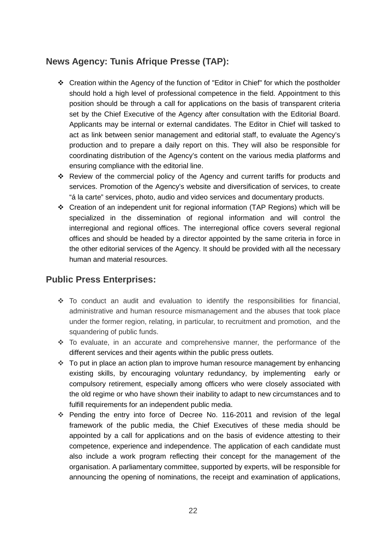# **News Agency: Tunis Afrique Presse (TAP):**

- Creation within the Agency of the function of "Editor in Chief" for which the postholder should hold a high level of professional competence in the field. Appointment to this position should be through a call for applications on the basis of transparent criteria set by the Chief Executive of the Agency after consultation with the Editorial Board. Applicants may be internal or external candidates. The Editor in Chief will tasked to act as link between senior management and editorial staff, to evaluate the Agency's production and to prepare a daily report on this. They will also be responsible for coordinating distribution of the Agency's content on the various media platforms and ensuring compliance with the editorial line.
- Review of the commercial policy of the Agency and current tariffs for products and services. Promotion of the Agency's website and diversification of services, to create "á la carte" services, photo, audio and video services and documentary products.
- Creation of an independent unit for regional information (TAP Regions) which will be specialized in the dissemination of regional information and will control the interregional and regional offices. The interregional office covers several regional offices and should be headed by a director appointed by the same criteria in force in the other editorial services of the Agency. It should be provided with all the necessary human and material resources.

# **Public Press Enterprises:**

- \* To conduct an audit and evaluation to identify the responsibilities for financial, administrative and human resource mismanagement and the abuses that took place under the former region, relating, in particular, to recruitment and promotion, and the squandering of public funds.
- To evaluate, in an accurate and comprehensive manner, the performance of the different services and their agents within the public press outlets.
- $\cdot$  To put in place an action plan to improve human resource management by enhancing existing skills, by encouraging voluntary redundancy, by implementing early or compulsory retirement, especially among officers who were closely associated with the old regime or who have shown their inability to adapt to new circumstances and to fulfill requirements for an independent public media.
- Pending the entry into force of Decree No. 116-2011 and revision of the legal framework of the public media, the Chief Executives of these media should be appointed by a call for applications and on the basis of evidence attesting to their competence, experience and independence. The application of each candidate must also include a work program reflecting their concept for the management of the organisation. A parliamentary committee, supported by experts, will be responsible for announcing the opening of nominations, the receipt and examination of applications,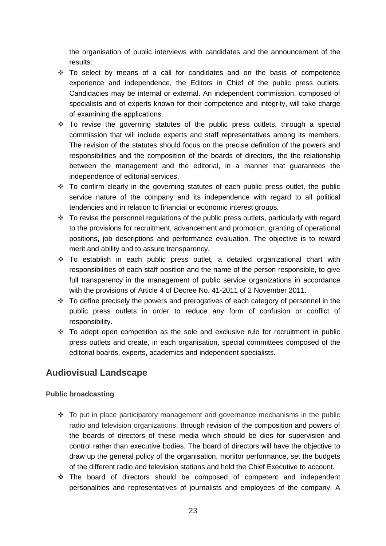the organisation of public interviews with candidates and the announcement of the results.

- \* To select by means of a call for candidates and on the basis of competence experience and independence, the Editors in Chief of the public press outlets. Candidacies may be internal or external. An independent commission, composed of specialists and of experts known for their competence and integrity, will take charge of examining the applications.
- \* To revise the governing statutes of the public press outlets, through a special commission that will include experts and staff representatives among its members. The revision of the statutes should focus on the precise definition of the powers and responsibilities and the composition of the boards of directors, the the relationship between the management and the editorial, in a manner that guarantees the independence of editorial services.
- \* To confirm clearly in the governing statutes of each public press outlet, the public service nature of the company and its independence with regard to all political tendencies and in relation to financial or economic interest groups.
- To revise the personnel regulations of the public press outlets, particularly with regard to the provisions for recruitment, advancement and promotion, granting of operational positions, job descriptions and performance evaluation. The objective is to reward merit and ability and to assure transparency.
- To establish in each public press outlet, a detailed organizational chart with responsibilities of each staff position and the name of the person responsible, to give full transparency in the management of public service organizations in accordance with the provisions of Article 4 of Decree No. 41-2011 of 2 November 2011.
- \* To define precisely the powers and prerogatives of each category of personnel in the public press outlets in order to reduce any form of confusion or conflict of responsibility.
- $\cdot$  To adopt open competition as the sole and exclusive rule for recruitment in public press outlets and create, in each organisation, special committees composed of the editorial boards, experts, academics and independent specialists.

# **Audiovisual Landscape**

#### **Public broadcasting**

- $\div$  To put in place participatory management and governance mechanisms in the public radio and television organizations, through revision of the composition and powers of the boards of directors of these media which should be dies for supervision and control rather than executive bodies. The board of directors will have the objective to draw up the general policy of the organisation, monitor performance, set the budgets of the different radio and television stations and hold the Chief Executive to account.
- \* The board of directors should be composed of competent and independent personalities and representatives of journalists and employees of the company. A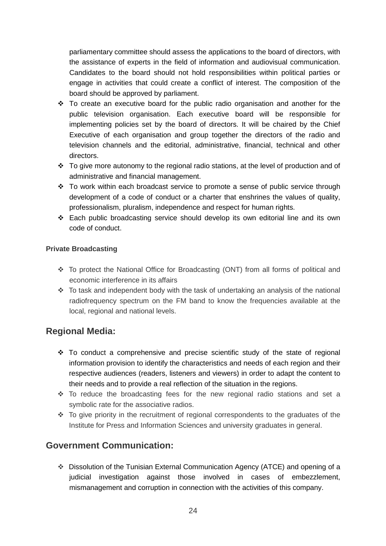parliamentary committee should assess the applications to the board of directors, with the assistance of experts in the field of information and audiovisual communication. Candidates to the board should not hold responsibilities within political parties or engage in activities that could create a conflict of interest. The composition of the board should be approved by parliament.

- $\div$  To create an executive board for the public radio organisation and another for the public television organisation. Each executive board will be responsible for implementing policies set by the board of directors. It will be chaired by the Chief Executive of each organisation and group together the directors of the radio and television channels and the editorial, administrative, financial, technical and other directors.
- $\cdot \cdot$  To give more autonomy to the regional radio stations, at the level of production and of administrative and financial management.
- \* To work within each broadcast service to promote a sense of public service through development of a code of conduct or a charter that enshrines the values of quality, professionalism, pluralism, independence and respect for human rights.
- Each public broadcasting service should develop its own editorial line and its own code of conduct.

### **Private Broadcasting**

- \* To protect the National Office for Broadcasting (ONT) from all forms of political and economic interference in its affairs
- \* To task and independent body with the task of undertaking an analysis of the national radiofrequency spectrum on the FM band to know the frequencies available at the local, regional and national levels.

# **Regional Media:**

- To conduct a comprehensive and precise scientific study of the state of regional information provision to identify the characteristics and needs of each region and their respective audiences (readers, listeners and viewers) in order to adapt the content to their needs and to provide a real reflection of the situation in the regions.
- To reduce the broadcasting fees for the new regional radio stations and set a symbolic rate for the associative radios.
- $\cdot$  To give priority in the recruitment of regional correspondents to the graduates of the Institute for Press and Information Sciences and university graduates in general.

# **Government Communication:**

 Dissolution of the Tunisian External Communication Agency (ATCE) and opening of a judicial investigation against those involved in cases of embezzlement, mismanagement and corruption in connection with the activities of this company.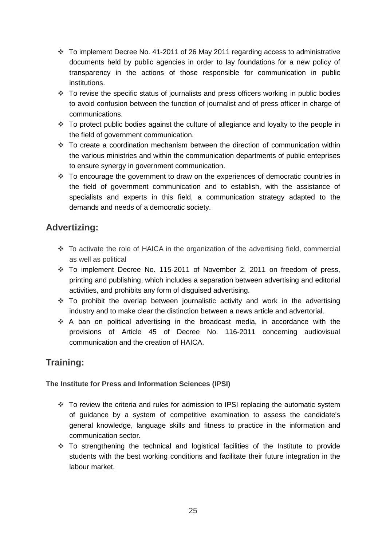- To implement Decree No. 41-2011 of 26 May 2011 regarding access to administrative documents held by public agencies in order to lay foundations for a new policy of transparency in the actions of those responsible for communication in public institutions.
- \* To revise the specific status of journalists and press officers working in public bodies to avoid confusion between the function of journalist and of press officer in charge of communications.
- \* To protect public bodies against the culture of allegiance and loyalty to the people in the field of government communication.
- To create a coordination mechanism between the direction of communication within the various ministries and within the communication departments of public enteprises to ensure synergy in government communication.
- \* To encourage the government to draw on the experiences of democratic countries in the field of government communication and to establish, with the assistance of specialists and experts in this field, a communication strategy adapted to the demands and needs of a democratic society.

# **Advertizing:**

- $\cdot$  To activate the role of HAICA in the organization of the advertising field, commercial as well as political
- To implement Decree No. 115-2011 of November 2, 2011 on freedom of press, printing and publishing, which includes a separation between advertising and editorial activities, and prohibits any form of disguised advertising.
- To prohibit the overlap between journalistic activity and work in the advertising industry and to make clear the distinction between a news article and advertorial.
- A ban on political advertising in the broadcast media, in accordance with the provisions of Article 45 of Decree No. 116-2011 concerning audiovisual communication and the creation of HAICA.

# **Training:**

### **The Institute for Press and Information Sciences (IPSI)**

- To review the criteria and rules for admission to IPSI replacing the automatic system of guidance by a system of competitive examination to assess the candidate's general knowledge, language skills and fitness to practice in the information and communication sector.
- To strengthening the technical and logistical facilities of the Institute to provide students with the best working conditions and facilitate their future integration in the labour market.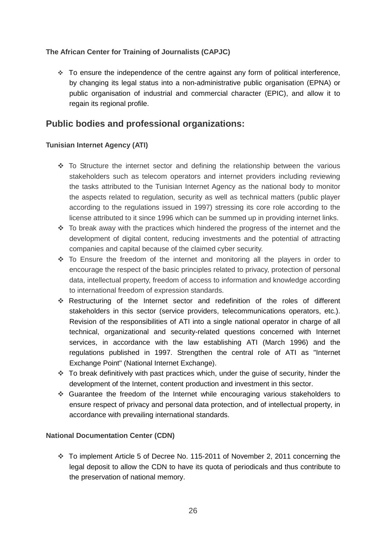### **The African Center for Training of Journalists (CAPJC)**

 $\cdot$  To ensure the independence of the centre against any form of political interference, by changing its legal status into a non-administrative public organisation (EPNA) or public organisation of industrial and commercial character (EPIC), and allow it to regain its regional profile.

# **Public bodies and professional organizations:**

### **Tunisian Internet Agency (ATI)**

- $\cdot$  To Structure the internet sector and defining the relationship between the various stakeholders such as telecom operators and internet providers including reviewing the tasks attributed to the Tunisian Internet Agency as the national body to monitor the aspects related to regulation, security as well as technical matters (public player according to the regulations issued in 1997) stressing its core role according to the license attributed to it since 1996 which can be summed up in providing internet links.
- $\cdot$  To break away with the practices which hindered the progress of the internet and the development of digital content, reducing investments and the potential of attracting companies and capital because of the claimed cyber security.
- To Ensure the freedom of the internet and monitoring all the players in order to encourage the respect of the basic principles related to privacy, protection of personal data, intellectual property, freedom of access to information and knowledge according to international freedom of expression standards.
- Restructuring of the Internet sector and redefinition of the roles of different stakeholders in this sector (service providers, telecommunications operators, etc.). Revision of the responsibilities of ATI into a single national operator in charge of all technical, organizational and security-related questions concerned with Internet services, in accordance with the law establishing ATI (March 1996) and the regulations published in 1997. Strengthen the central role of ATI as "Internet Exchange Point" (National Internet Exchange).
- To break definitively with past practices which, under the guise of security, hinder the development of the Internet, content production and investment in this sector.
- Guarantee the freedom of the Internet while encouraging various stakeholders to ensure respect of privacy and personal data protection, and of intellectual property, in accordance with prevailing international standards.

#### **National Documentation Center (CDN)**

 To implement Article 5 of Decree No. 115-2011 of November 2, 2011 concerning the legal deposit to allow the CDN to have its quota of periodicals and thus contribute to the preservation of national memory.